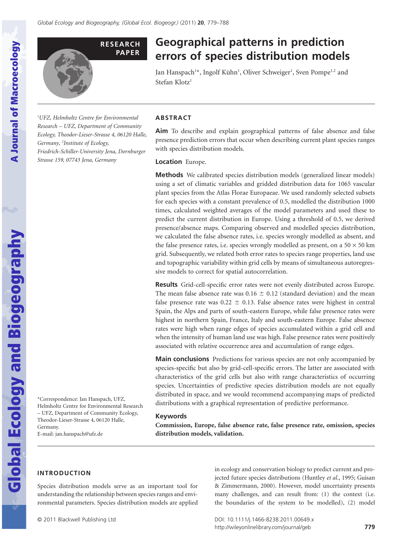

# **Geographical patterns in prediction** errors of species distribution models

Jan Hanspach<sup>1\*</sup>, Ingolf Kühn<sup>1</sup>, Oliver Schweiger<sup>1</sup>, Sven Pompe<sup>1,2</sup> and Stefan Klotz<sup>1</sup>

1 *UFZ, Helmholtz Centre for Environmental Research – UFZ, Department of Community Ecology, Theodor-Lieser-Strasse 4, 06120 Halle, Germany,* <sup>2</sup> *Institute of Ecology, Friedrich-Schiller-University Jena, Dornburger Strasse 159, 07743 Jena, Germany*

# **ABSTRACT**

**Aim** To describe and explain geographical patterns of false absence and false presence prediction errors that occur when describing current plant species ranges with species distribution models.

## **Location** Europe.

**Methods** We calibrated species distribution models (generalized linear models) using a set of climatic variables and gridded distribution data for 1065 vascular plant species from the Atlas Florae Europaeae. We used randomly selected subsets for each species with a constant prevalence of 0.5, modelled the distribution 1000 times, calculated weighted averages of the model parameters and used these to predict the current distribution in Europe. Using a threshold of 0.5, we derived presence/absence maps. Comparing observed and modelled species distribution, we calculated the false absence rates, i.e. species wrongly modelled as absent, and the false presence rates, i.e. species wrongly modelled as present, on a  $50 \times 50$  km grid. Subsequently, we related both error rates to species range properties, land use and topographic variability within grid cells by means of simultaneous autoregressive models to correct for spatial autocorrelation.

**Results** Grid-cell-specific error rates were not evenly distributed across Europe. The mean false absence rate was  $0.16 \pm 0.12$  (standard deviation) and the mean false presence rate was  $0.22 \pm 0.13$ . False absence rates were highest in central Spain, the Alps and parts of south-eastern Europe, while false presence rates were highest in northern Spain, France, Italy and south-eastern Europe. False absence rates were high when range edges of species accumulated within a grid cell and when the intensity of human land use was high. False presence rates were positively associated with relative occurrence area and accumulation of range edges.

**Main conclusions** Predictions for various species are not only accompanied by species-specific but also by grid-cell-specific errors. The latter are associated with characteristics of the grid cells but also with range characteristics of occurring species. Uncertainties of predictive species distribution models are not equally distributed in space, and we would recommend accompanying maps of predicted distributions with a graphical representation of predictive performance.

## **Keywords**

**Commission, Europe, false absence rate, false presence rate, omission, species distribution models, validation.**

> in ecology and conservation biology to predict current and projected future species distributions (Huntley *et al*., 1995; Guisan & Zimmermann, 2000). However, model uncertainty presents many challenges, and can result from: (1) the context (i.e. the boundaries of the system to be modelled), (2) model

**Global Ecology and Biogeography** 

**A Journal of Macroecology** 

\*Correspondence: Jan Hanspach, UFZ, Helmholtz Centre for Environmental Research – UFZ, Department of Community Ecology, Theodor-Lieser-Strasse 4, 06120 Halle, Germany. E-mail: jan.hanspach@ufz.de

# **INTRODUCTION**

Species distribution models serve as an important tool for understanding the relationship between species ranges and environmental parameters. Species distribution models are applied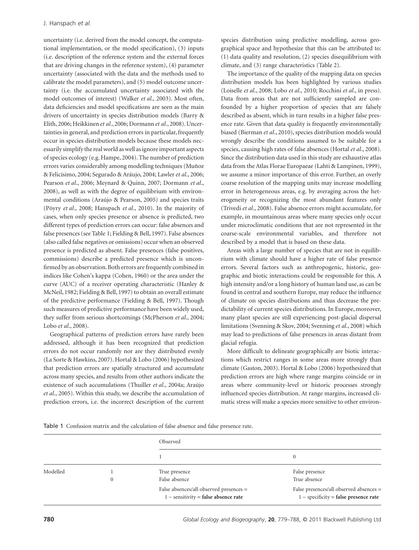uncertainty (i.e. derived from the model concept, the computational implementation, or the model specification), (3) inputs (i.e. description of the reference system and the external forces that are driving changes in the reference system), (4) parameter uncertainty (associated with the data and the methods used to calibrate the model parameters), and (5) model outcome uncertainty (i.e. the accumulated uncertainty associated with the model outcomes of interest) (Walker *et al*., 2003). Most often, data deficiencies and model specifications are seen as the main drivers of uncertainty in species distribution models (Barry & Elith, 2006; Heikkinen *et al*., 2006; Dormann *et al*., 2008). Uncertainties in general, and prediction errors in particular, frequently occur in species distribution models because these models necessarily simplify the real world as well as ignore important aspects of species ecology (e.g. Hampe, 2004). The number of prediction errors varies considerably among modelling techniques (Muñoz & Felicísimo, 2004; Segurado & Aráujo, 2004; Lawler *et al*., 2006; Pearson *et al*., 2006; Meynard & Quinn, 2007; Dormann *et al*., 2008), as well as with the degree of equilibrium with environmental conditions (Araújo & Pearson, 2005) and species traits (Pöyry *et al*., 2008; Hanspach *et al*., 2010). In the majority of cases, when only species presence or absence is predicted, two different types of prediction errors can occur: false absences and false presences (see Table 1; Fielding & Bell, 1997). False absences (also called false negatives or omissions) occur when an observed presence is predicted as absent. False presences (false positives, commissions) describe a predicted presence which is unconfirmed by an observation. Both errors are frequently combined in indices like Cohen's kappa (Cohen, 1960) or the area under the curve (AUC) of a receiver operating characteristic (Hanley & McNeil, 1982; Fielding & Bell, 1997) to obtain an overall estimate of the predictive performance (Fielding & Bell, 1997). Though such measures of predictive performance have been widely used, they suffer from serious shortcomings (McPherson *et al*., 2004; Lobo *et al*., 2008).

Geographical patterns of prediction errors have rarely been addressed, although it has been recognized that prediction errors do not occur randomly nor are they distributed evenly (La Sorte & Hawkins, 2007). Hortal & Lobo (2006) hypothesized that prediction errors are spatially structured and accumulate across many species, and results from other authors indicate the existence of such accumulations (Thuiller *et al*., 2004a; Araújo *et al*., 2005). Within this study, we describe the accumulation of prediction errors, i.e. the incorrect description of the current species distribution using predictive modelling, across geographical space and hypothesize that this can be attributed to: (1) data quality and resolution, (2) species disequilibrium with climate, and (3) range characteristics (Table 2).

The importance of the quality of the mapping data on species distribution models has been highlighted by various studies (Loiselle *et al*., 2008; Lobo *et al*., 2010; Rocchini *et al*., in press). Data from areas that are not sufficiently sampled are confounded by a higher proportion of species that are falsely described as absent, which in turn results in a higher false presence rate. Given that data quality is frequently environmentally biased (Bierman *et al*., 2010), species distribution models would wrongly describe the conditions assumed to be suitable for a species, causing high rates of false absences (Hortal *et al*., 2008). Since the distribution data used in this study are exhaustive atlas data from the Atlas Florae Europaeae (Lahti & Lampinen, 1999), we assume a minor importance of this error. Further, an overly coarse resolution of the mapping units may increase modelling error in heterogeneous areas, e.g. by averaging across the heterogeneity or recognizing the most abundant features only (Trivedi *et al*., 2008). False absence errors might accumulate, for example, in mountainous areas where many species only occur under microclimatic conditions that are not represented in the coarse-scale environmental variables, and therefore not described by a model that is based on these data.

Areas with a large number of species that are not in equilibrium with climate should have a higher rate of false presence errors. Several factors such as anthropogenic, historic, geographic and biotic interactions could be responsible for this. A high intensity and/or a long history of human land use, as can be found in central and southern Europe, may reduce the influence of climate on species distributions and thus decrease the predictability of current species distributions. In Europe, moreover, many plant species are still experiencing post-glacial dispersal limitations (Svenning & Skov, 2004; Svenning *et al*., 2008) which may lead to predictions of false presences in areas distant from glacial refugia.

More difficult to delineate geographically are biotic interactions which restrict ranges in some areas more strongly than climate (Gaston, 2003). Hortal & Lobo (2006) hypothesized that prediction errors are high where range margins coincide or in areas where community-level or historic processes strongly influenced species distribution. At range margins, increased climatic stress will make a species more sensitive to other environ-

Table 1 Confusion matrix and the calculation of false absence and false presence rate.

|          |              | Observed                                                                          |                                                                                    |  |  |  |
|----------|--------------|-----------------------------------------------------------------------------------|------------------------------------------------------------------------------------|--|--|--|
|          |              |                                                                                   | 0                                                                                  |  |  |  |
| Modelled |              | True presence                                                                     | False presence                                                                     |  |  |  |
|          | $\mathbf{0}$ | False absence                                                                     | True absence                                                                       |  |  |  |
|          |              | False absences/all observed presences =<br>$1$ – sensitivity = false absence rate | False presences/all observed absences =<br>$1$ – specificity = false presence rate |  |  |  |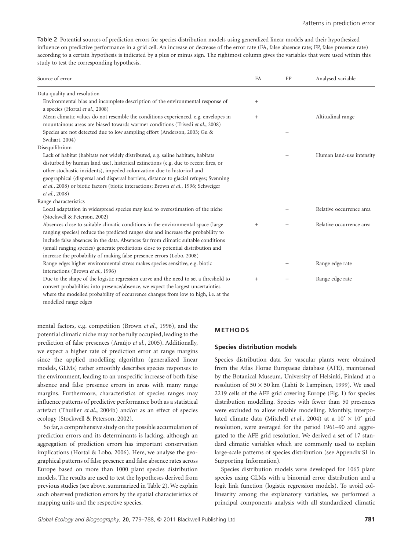Table 2 Potential sources of prediction errors for species distribution models using generalized linear models and their hypothesized influence on predictive performance in a grid cell. An increase or decrease of the error rate (FA, false absence rate; FP, false presence rate) according to a certain hypothesis is indicated by a plus or minus sign. The rightmost column gives the variables that were used within this study to test the corresponding hypothesis.

| Source of error                                                                                                                                                                                                                                                                                                                                                                                                          | <b>FA</b>       | FP     | Analysed variable        |
|--------------------------------------------------------------------------------------------------------------------------------------------------------------------------------------------------------------------------------------------------------------------------------------------------------------------------------------------------------------------------------------------------------------------------|-----------------|--------|--------------------------|
| Data quality and resolution                                                                                                                                                                                                                                                                                                                                                                                              |                 |        |                          |
| Environmental bias and incomplete description of the environmental response of<br>a species (Hortal et al., 2008)                                                                                                                                                                                                                                                                                                        | $\! + \!\!\!\!$ |        |                          |
| Mean climatic values do not resemble the conditions experienced, e.g. envelopes in<br>mountainous areas are biased towards warmer conditions (Trivedi et al., 2008)                                                                                                                                                                                                                                                      | $+$             |        | Altitudinal range        |
| Species are not detected due to low sampling effort (Anderson, 2003; Gu &<br>Swihart, 2004)                                                                                                                                                                                                                                                                                                                              |                 | $+$    |                          |
| Disequilibrium                                                                                                                                                                                                                                                                                                                                                                                                           |                 |        |                          |
| Lack of habitat (habitats not widely distributed, e.g. saline habitats, habitats<br>disturbed by human land use), historical extinctions (e.g. due to recent fires, or                                                                                                                                                                                                                                                   |                 | $^{+}$ | Human land-use intensity |
| other stochastic incidents), impeded colonization due to historical and<br>geographical (dispersal and dispersal barriers, distance to glacial refuges; Svenning<br>et al., 2008) or biotic factors (biotic interactions; Brown et al., 1996; Schweiger                                                                                                                                                                  |                 |        |                          |
| et al., 2008)                                                                                                                                                                                                                                                                                                                                                                                                            |                 |        |                          |
| Range characteristics                                                                                                                                                                                                                                                                                                                                                                                                    |                 |        |                          |
| Local adaptation in widespread species may lead to overestimation of the niche<br>(Stockwell & Peterson, 2002)                                                                                                                                                                                                                                                                                                           |                 | $+$    | Relative occurrence area |
| Absences close to suitable climatic conditions in the environmental space (large<br>ranging species) reduce the predicted ranges size and increase the probability to<br>include false absences in the data. Absences far from climatic suitable conditions<br>(small ranging species) generate predictions close to potential distribution and<br>increase the probability of making false presence errors (Lobo, 2008) | $+$             |        | Relative occurrence area |
| Range edge: higher environmental stress makes species sensitive, e.g. biotic<br>interactions (Brown et al., 1996)                                                                                                                                                                                                                                                                                                        |                 | $^{+}$ | Range edge rate          |
| Due to the shape of the logistic regression curve and the need to set a threshold to<br>convert probabilities into presence/absence, we expect the largest uncertainties<br>where the modelled probability of occurrence changes from low to high, i.e. at the<br>modelled range edges                                                                                                                                   | $^{+}$          | $+$    | Range edge rate          |

mental factors, e.g. competition (Brown *et al*., 1996), and the potential climatic niche may not be fully occupied, leading to the prediction of false presences (Araújo *et al*., 2005). Additionally, we expect a higher rate of prediction error at range margins since the applied modelling algorithm (generalized linear models, GLMs) rather smoothly describes species responses to the environment, leading to an unspecific increase of both false absence and false presence errors in areas with many range margins. Furthermore, characteristics of species ranges may influence patterns of predictive performance both as a statistical artefact (Thuiller *et al*., 2004b) and/or as an effect of species ecology (Stockwell & Peterson, 2002).

So far, a comprehensive study on the possible accumulation of prediction errors and its determinants is lacking, although an aggregation of prediction errors has important conservation implications (Hortal & Lobo, 2006). Here, we analyse the geographical patterns of false presence and false absence rates across Europe based on more than 1000 plant species distribution models. The results are used to test the hypotheses derived from previous studies (see above, summarized in Table 2). We explain such observed prediction errors by the spatial characteristics of mapping units and the respective species.

## **METHODS**

## **Species distribution models**

Species distribution data for vascular plants were obtained from the Atlas Florae Europaeae database (AFE), maintained by the Botanical Museum, University of Helsinki, Finland at a resolution of  $50 \times 50$  km (Lahti & Lampinen, 1999). We used 2219 cells of the AFE grid covering Europe (Fig. 1) for species distribution modelling. Species with fewer than 50 presences were excluded to allow reliable modelling. Monthly, interpolated climate data (Mitchell *et al.*, 2004) at a 10' × 10' grid resolution, were averaged for the period 1961–90 and aggregated to the AFE grid resolution. We derived a set of 17 standard climatic variables which are commonly used to explain large-scale patterns of species distribution (see Appendix S1 in Supporting Information).

Species distribution models were developed for 1065 plant species using GLMs with a binomial error distribution and a logit link function (logistic regression models). To avoid collinearity among the explanatory variables, we performed a principal components analysis with all standardized climatic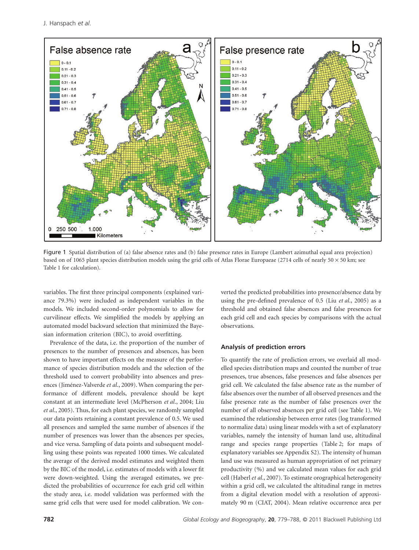J. Hanspach *et al*.



Figure 1 Spatial distribution of (a) false absence rates and (b) false presence rates in Europe (Lambert azimuthal equal area projection) based on of 1065 plant species distribution models using the grid cells of Atlas Florae Europaeae (2714 cells of nearly 50  $\times$  50 km; see Table 1 for calculation).

variables. The first three principal components (explained variance 79.3%) were included as independent variables in the models. We included second-order polynomials to allow for curvilinear effects. We simplified the models by applying an automated model backward selection that minimized the Bayesian information criterion (BIC), to avoid overfitting.

Prevalence of the data, i.e. the proportion of the number of presences to the number of presences and absences, has been shown to have important effects on the measure of the performance of species distribution models and the selection of the threshold used to convert probability into absences and presences (Jiménez-Valverde *et al*., 2009). When comparing the performance of different models, prevalence should be kept constant at an intermediate level (McPherson *et al*., 2004; Liu *et al*., 2005). Thus, for each plant species, we randomly sampled our data points retaining a constant prevalence of 0.5. We used all presences and sampled the same number of absences if the number of presences was lower than the absences per species, and vice versa. Sampling of data points and subsequent modelling using these points was repeated 1000 times. We calculated the average of the derived model estimates and weighted them by the BIC of the model, i.e. estimates of models with a lower fit were down-weighted. Using the averaged estimates, we predicted the probabilities of occurrence for each grid cell within the study area, i.e. model validation was performed with the same grid cells that were used for model calibration. We converted the predicted probabilities into presence/absence data by using the pre-defined prevalence of 0.5 (Liu *et al*., 2005) as a threshold and obtained false absences and false presences for each grid cell and each species by comparisons with the actual observations.

## **Analysis of prediction errors**

To quantify the rate of prediction errors, we overlaid all modelled species distribution maps and counted the number of true presences, true absences, false presences and false absences per grid cell. We calculated the false absence rate as the number of false absences over the number of all observed presences and the false presence rate as the number of false presences over the number of all observed absences per grid cell (see Table 1). We examined the relationship between error rates (log transformed to normalize data) using linear models with a set of explanatory variables, namely the intensity of human land use, altitudinal range and species range properties (Table 2; for maps of explanatory variables see Appendix S2). The intensity of human land use was measured as human appropriation of net primary productivity (%) and we calculated mean values for each grid cell (Haberl *et al*., 2007). To estimate orographical heterogeneity within a grid cell, we calculated the altitudinal range in metres from a digital elevation model with a resolution of approximately 90 m (CIAT, 2004). Mean relative occurrence area per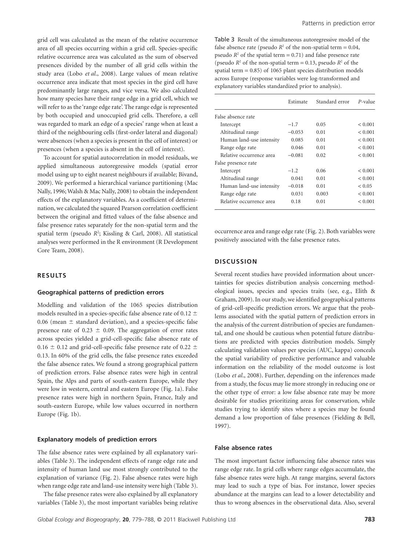grid cell was calculated as the mean of the relative occurrence area of all species occurring within a grid cell. Species-specific relative occurrence area was calculated as the sum of observed presences divided by the number of all grid cells within the study area (Lobo *et al*., 2008). Large values of mean relative occurrence area indicate that most species in the gird cell have predominantly large ranges, and vice versa. We also calculated how many species have their range edge in a grid cell, which we will refer to as the 'range edge rate'. The range edge is represented by both occupied and unoccupied grid cells. Therefore, a cell was regarded to mark an edge of a species' range when at least a third of the neighbouring cells (first-order lateral and diagonal) were absences (when a species is present in the cell of interest) or presences (when a species is absent in the cell of interest).

To account for spatial autocorrelation in model residuals, we applied simultaneous autoregressive models (spatial error model using up to eight nearest neighbours if available; Bivand, 2009). We performed a hierarchical variance partitioning (Mac Nally, 1996; Walsh & Mac Nally, 2008) to obtain the independent effects of the explanatory variables. As a coefficient of determination, we calculated the squared Pearson correlation coefficient between the original and fitted values of the false absence and false presence rates separately for the non-spatial term and the spatial term (pseudo R<sup>2</sup>; Kissling & Carl, 2008). All statistical analyses were performed in the R environment (R Development Core Team, 2008).

# **RESULTS**

## **Geographical patterns of prediction errors**

Modelling and validation of the 1065 species distribution models resulted in a species-specific false absence rate of 0.12  $\pm$ 0.06 (mean  $\pm$  standard deviation), and a species-specific false presence rate of 0.23  $\pm$  0.09. The aggregation of error rates across species yielded a grid-cell-specific false absence rate of 0.16  $\pm$  0.12 and grid-cell-specific false presence rate of 0.22  $\pm$ 0.13. In 60% of the grid cells, the false presence rates exceeded the false absence rates. We found a strong geographical pattern of prediction errors. False absence rates were high in central Spain, the Alps and parts of south-eastern Europe, while they were low in western, central and eastern Europe (Fig. 1a). False presence rates were high in northern Spain, France, Italy and south-eastern Europe, while low values occurred in northern Europe (Fig. 1b).

#### **Explanatory models of prediction errors**

The false absence rates were explained by all explanatory variables (Table 3). The independent effects of range edge rate and intensity of human land use most strongly contributed to the explanation of variance (Fig. 2). False absence rates were high when range edge rate and land-use intensity were high (Table 3).

The false presence rates were also explained by all explanatory variables (Table 3), the most important variables being relative Table 3 Result of the simultaneous autoregressive model of the false absence rate (pseudo  $R^2$  of the non-spatial term = 0.04, pseudo  $R^2$  of the spatial term = 0.71) and false presence rate (pseudo  $R^2$  of the non-spatial term = 0.13, pseudo  $R^2$  of the spatial term = 0.85) of 1065 plant species distribution models across Europe (response variables were log-transformed and explanatory variables standardized prior to analysis).

|                          | Estimate | Standard error | P-value |
|--------------------------|----------|----------------|---------|
| False absence rate       |          |                |         |
| Intercept                | $-1.7$   | 0.05           | < 0.001 |
| Altitudinal range        | $-0.053$ | 0.01           | < 0.001 |
| Human land-use intensity | 0.085    | 0.01           | < 0.001 |
| Range edge rate          | 0.046    | 0.01           | < 0.001 |
| Relative occurrence area | $-0.081$ | 0.02           | < 0.001 |
| False presence rate      |          |                |         |
| Intercept                | $-1.2$   | 0.06           | < 0.001 |
| Altitudinal range        | 0.041    | 0.01           | < 0.001 |
| Human land-use intensity | $-0.018$ | 0.01           | < 0.05  |
| Range edge rate          | 0.031    | 0.003          | < 0.001 |
| Relative occurrence area | 0.18     | 0.01           | < 0.001 |

occurrence area and range edge rate (Fig. 2). Both variables were positively associated with the false presence rates.

# **DISCUSSION**

Several recent studies have provided information about uncertainties for species distribution analysis concerning methodological issues, species and species traits (see, e.g., Elith & Graham, 2009). In our study, we identified geographical patterns of grid-cell-specific prediction errors. We argue that the problems associated with the spatial pattern of prediction errors in the analysis of the current distribution of species are fundamental, and one should be cautious when potential future distributions are predicted with species distribution models. Simply calculating validation values per species (AUC, kappa) conceals the spatial variability of predictive performance and valuable information on the reliability of the model outcome is lost (Lobo *et al*., 2008). Further, depending on the inferences made from a study, the focus may lie more strongly in reducing one or the other type of error: a low false absence rate may be more desirable for studies prioritizing areas for conservation, while studies trying to identify sites where a species may be found demand a low proportion of false presences (Fielding & Bell, 1997).

## **False absence rates**

The most important factor influencing false absence rates was range edge rate. In grid cells where range edges accumulate, the false absence rates were high. At range margins, several factors may lead to such a type of bias. For instance, lower species abundance at the margins can lead to a lower detectability and thus to wrong absences in the observational data. Also, several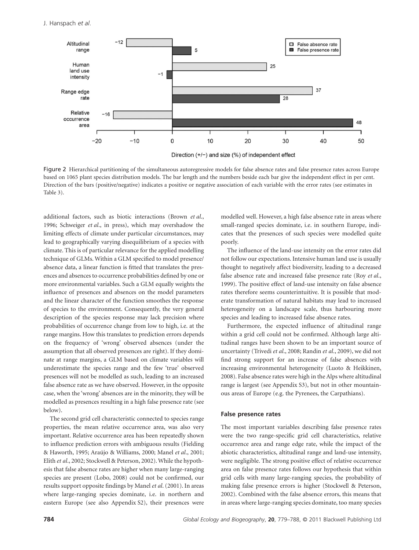

Figure 2 Hierarchical partitioning of the simultaneous autoregressive models for false absence rates and false presence rates across Europe based on 1065 plant species distribution models. The bar length and the numbers beside each bar give the independent effect in per cent. Direction of the bars (positive/negative) indicates a positive or negative association of each variable with the error rates (see estimates in Table 3).

additional factors, such as biotic interactions (Brown *et al*., 1996; Schweiger *et al*., in press), which may overshadow the limiting effects of climate under particular circumstances, may lead to geographically varying disequilibrium of a species with climate. This is of particular relevance for the applied modelling technique of GLMs. Within a GLM specified to model presence/ absence data, a linear function is fitted that translates the presences and absences to occurrence probabilities defined by one or more environmental variables. Such a GLM equally weights the influence of presences and absences on the model parameters and the linear character of the function smoothes the response of species to the environment. Consequently, the very general description of the species response may lack precision where probabilities of occurrence change from low to high, i.e. at the range margins. How this translates to prediction errors depends on the frequency of 'wrong' observed absences (under the assumption that all observed presences are right). If they dominate at range margins, a GLM based on climate variables will underestimate the species range and the few 'true' observed presences will not be modelled as such, leading to an increased false absence rate as we have observed. However, in the opposite case, when the 'wrong' absences are in the minority, they will be modelled as presences resulting in a high false presence rate (see below).

The second grid cell characteristic connected to species range properties, the mean relative occurrence area, was also very important. Relative occurrence area has been repeatedly shown to influence prediction errors with ambiguous results (Fielding & Haworth, 1995; Araújo & Williams, 2000; Manel *et al*., 2001; Elith *et al*., 2002; Stockwell & Peterson, 2002). While the hypothesis that false absence rates are higher when many large-ranging species are present (Lobo, 2008) could not be confirmed, our results support opposite findings by Manel *et al*. (2001). In areas where large-ranging species dominate, i.e. in northern and eastern Europe (see also Appendix S2), their presences were modelled well. However, a high false absence rate in areas where small-ranged species dominate, i.e. in southern Europe, indicates that the presences of such species were modelled quite poorly.

The influence of the land-use intensity on the error rates did not follow our expectations. Intensive human land use is usually thought to negatively affect biodiversity, leading to a decreased false absence rate and increased false presence rate (Roy *et al*., 1999). The positive effect of land-use intensity on false absence rates therefore seems counterintuitive. It is possible that moderate transformation of natural habitats may lead to increased heterogeneity on a landscape scale, thus harbouring more species and leading to increased false absence rates.

Furthermore, the expected influence of altitudinal range within a grid cell could not be confirmed. Although large altitudinal ranges have been shown to be an important source of uncertainty (Trivedi *et al*., 2008; Randin *et al*., 2009), we did not find strong support for an increase of false absences with increasing environmental heterogeneity (Luoto & Heikkinen, 2008). False absence rates were high in the Alps where altitudinal range is largest (see Appendix S3), but not in other mountainous areas of Europe (e.g. the Pyrenees, the Carpathians).

## **False presence rates**

The most important variables describing false presence rates were the two range-specific grid cell characteristics, relative occurrence area and range edge rate, while the impact of the abiotic characteristics, altitudinal range and land-use intensity, were negligible. The strong positive effect of relative occurrence area on false presence rates follows our hypothesis that within grid cells with many large-ranging species, the probability of making false presence errors is higher (Stockwell & Peterson, 2002). Combined with the false absence errors, this means that in areas where large-ranging species dominate, too many species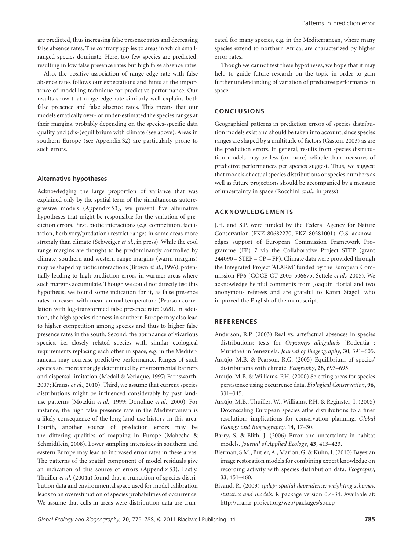are predicted, thus increasing false presence rates and decreasing false absence rates. The contrary applies to areas in which smallranged species dominate. Here, too few species are predicted, resulting in low false presence rates but high false absence rates.

Also, the positive association of range edge rate with false absence rates follows our expectations and hints at the importance of modelling technique for predictive performance. Our results show that range edge rate similarly well explains both false presence and false absence rates. This means that our models erratically over- or under-estimated the species ranges at their margins, probably depending on the species-specific data quality and (dis-)equilibrium with climate (see above). Areas in southern Europe (see Appendix S2) are particularly prone to such errors.

#### **Alternative hypotheses**

Acknowledging the large proportion of variance that was explained only by the spatial term of the simultaneous autoregressive models (Appendix S3), we present five alternative hypotheses that might be responsible for the variation of prediction errors. First, biotic interactions (e.g. competition, facilitation, herbivory/predation) restrict ranges in some areas more strongly than climate (Schweiger *et al*., in press). While the cool range margins are thought to be predominantly controlled by climate, southern and western range margins (warm margins) may be shaped by biotic interactions (Brown *et al*., 1996), potentially leading to high prediction errors in warmer areas where such margins accumulate. Though we could not directly test this hypothesis, we found some indication for it, as false presence rates increased with mean annual temperature (Pearson correlation with log-transformed false presence rate: 0.68). In addition, the high species richness in southern Europe may also lead to higher competition among species and thus to higher false presence rates in the south. Second, the abundance of vicarious species, i.e. closely related species with similar ecological requirements replacing each other in space, e.g. in the Mediterranean, may decrease predictive performance. Ranges of such species are more strongly determined by environmental barriers and dispersal limitation (Médail & Verlaque, 1997; Farnsworth, 2007; Krauss *et al*., 2010). Third, we assume that current species distributions might be influenced considerably by past landuse patterns (Motzkin *et al*., 1999; Donohue *et al*., 2000). For instance, the high false presence rate in the Mediterranean is a likely consequence of the long land-use history in this area. Fourth, another source of prediction errors may be the differing qualities of mapping in Europe (Mahecha & Schmidtlein, 2008). Lower sampling intensities in southern and eastern Europe may lead to increased error rates in these areas. The patterns of the spatial component of model residuals give an indication of this source of errors (Appendix S3). Lastly, Thuiller *et al*. (2004a) found that a truncation of species distribution data and environmental space used for model calibration leads to an overestimation of species probabilities of occurrence. We assume that cells in areas were distribution data are truncated for many species, e.g. in the Mediterranean, where many species extend to northern Africa, are characterized by higher error rates.

Though we cannot test these hypotheses, we hope that it may help to guide future research on the topic in order to gain further understanding of variation of predictive performance in space.

# **CONCLUSIONS**

Geographical patterns in prediction errors of species distribution models exist and should be taken into account, since species ranges are shaped by a multitude of factors (Gaston, 2003) as are the prediction errors. In general, results from species distribution models may be less (or more) reliable than measures of predictive performances per species suggest. Thus, we suggest that models of actual species distributions or species numbers as well as future projections should be accompanied by a measure of uncertainty in space (Rocchini *et al*., in press).

## **ACKNOWLEDGEMENTS**

J.H. and S.P. were funded by the Federal Agency for Nature Conservation (FKZ 80682270, FKZ 80581001). O.S. acknowledges support of European Commission Framework Programme (FP) 7 via the Collaborative Project STEP (grant 244090 – STEP – CP – FP). Climate data were provided through the Integrated Project 'ALARM' funded by the European Commission FP6 (GOCE-CT-2003-506675, Settele *et al*., 2005). We acknowledge helpful comments from Joaquín Hortal and two anonymous referees and are grateful to Karen Stagoll who improved the English of the manuscript.

# **REFERENCES**

- Anderson, R.P. (2003) Real vs. artefactual absences in species distributions: tests for *Oryzomys albigularis* (Rodentia : Muridae) in Venezuela. *Journal of Biogeography*, **30**, 591–605.
- Araújo, M.B. & Pearson, R.G. (2005) Equilibrium of species' distributions with climate. *Ecography*, **28**, 693–695.
- Araújo, M.B. & Williams, P.H. (2000) Selecting areas for species persistence using occurrence data. *Biological Conservation*, **96**, 331–345.
- Araújo, M.B., Thuiller, W., Williams, P.H. & Reginster, I. (2005) Downscaling European species atlas distributions to a finer resolution: implications for conservation planning. *Global Ecology and Biogeography*, **14**, 17–30.
- Barry, S. & Elith, J. (2006) Error and uncertainty in habitat models. *Journal of Applied Ecology*, **43**, 413–423.
- Bierman, S.M., Butler, A., Marion, G. & Kühn, I. (2010) Bayesian image restoration models for combining expert knowledge on recording activity with species distribution data. *Ecography*, **33**, 451–460.
- Bivand, R. (2009) *spdep: spatial dependence: weighting schemes, statistics and models*. R package version 0.4-34. Available at: http://cran.r-project.org/web/packages/spdep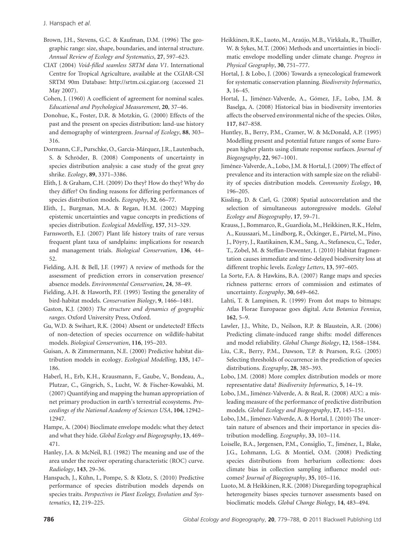Brown, J.H., Stevens, G.C. & Kaufman, D.M. (1996) The geographic range: size, shape, boundaries, and internal structure. *Annual Review of Ecology and Systematics*, **27**, 597–623.

CIAT (2004) *Void-filled seamless SRTM data V1*. International Centre for Tropical Agriculture, available at the CGIAR-CSI SRTM 90m Database: http://srtm.csi.cgiar.org (accessed 21 May 2007).

Cohen, J. (1960) A coefficient of agreement for nominal scales. *Educational and Psychological Measurement*, **20**, 37–46.

Donohue, K., Foster, D.R. & Motzkin, G. (2000) Effects of the past and the present on species distribution: land-use history and demography of wintergreen. *Journal of Ecology*, **88**, 303– 316.

Dormann, C.F., Purschke, O., García-Márquez, J.R., Lautenbach, S. & Schröder, B. (2008) Components of uncertainty in species distribution analysis: a case study of the great grey shrike. *Ecology*, **89**, 3371–3386.

Elith, J. & Graham, C.H. (2009) Do they? How do they? Why do they differ? On finding reasons for differing performances of species distribution models. *Ecography*, **32**, 66–77.

Elith, J., Burgman, M.A. & Regan, H.M. (2002) Mapping epistemic uncertainties and vague concepts in predictions of species distribution. *Ecological Modelling*, **157**, 313–329.

Farnsworth, E.J. (2007) Plant life history traits of rare versus frequent plant taxa of sandplains: implications for research and management trials. *Biological Conservation*, **136**, 44– 52.

Fielding, A.H. & Bell, J.F. (1997) A review of methods for the assessment of prediction errors in conservation presence/ absence models. *Environmental Conservation*, **24**, 38–49.

Fielding, A.H. & Haworth, P.F. (1995) Testing the generality of bird-habitat models. *Conservation Biology*, **9**, 1466–1481.

Gaston, K.J. (2003) *The structure and dynamics of geographic ranges*. Oxford University Press, Oxford.

Gu, W.D. & Swihart, R.K. (2004) Absent or undetected? Effects of non-detection of species occurrence on wildlife-habitat models. *Biological Conservation*, **116**, 195–203.

Guisan, A. & Zimmermann, N.E. (2000) Predictive habitat distribution models in ecology. *Ecological Modelling*, **135**, 147– 186.

Haberl, H., Erb, K.H., Krausmann, F., Gaube, V., Bondeau, A., Plutzar, C., Gingrich, S., Lucht, W. & Fischer-Kowalski, M. (2007) Quantifying and mapping the human appropriation of net primary production in earth's terrestrial ecosystems. *Proceedings of the National Academy of Sciences USA*, **104**, 12942– 12947.

Hampe, A. (2004) Bioclimate envelope models: what they detect and what they hide. *Global Ecology and Biogeography*, **13**, 469– 471.

Hanley, J.A. & McNeil, B.J. (1982) The meaning and use of the area under the receiver operating characteristic (ROC) curve. *Radiology*, **143**, 29–36.

Hanspach, J., Kühn, I., Pompe, S. & Klotz, S. (2010) Predictive performance of species distribution models depends on species traits. *Perspectives in Plant Ecology, Evolution and Systematics*, **12**, 219–225.

Heikkinen, R.K., Luoto, M., Araújo, M.B., Virkkala, R., Thuiller, W. & Sykes, M.T. (2006) Methods and uncertainties in bioclimatic envelope modelling under climate change. *Progress in Physical Geography*, **30**, 751–777.

Hortal, J. & Lobo, J. (2006) Towards a synecological framework for systematic conservation planning. *Biodiversity Informatics*, **3**, 16–45.

Hortal, J., Jiménez-Valverde, A., Gómez, J.F., Lobo, J.M. & Baselga, A. (2008) Historical bias in biodiversity inventories affects the observed environmental niche of the species. *Oikos*, **117**, 847–858.

Huntley, B., Berry, P.M., Cramer, W. & McDonald, A.P. (1995) Modelling present and potential future ranges of some European higher plants using climate response surfaces. *Journal of Biogeography*, **22**, 967–1001.

Jiménez-Valverde, A., Lobo, J.M. & Hortal, J. (2009) The effect of prevalence and its interaction with sample size on the reliability of species distribution models. *Community Ecology*, **10**, 196–205.

Kissling, D. & Carl, G. (2008) Spatial autocorrelation and the selection of simultaneous autoregressive models. *Global Ecology and Biogeography*, **17**, 59–71.

Krauss, J., Bommarco, R., Guardiola, M., Heikkinen, R.K., Helm, A., Kuussaari, M., Lindborg, R., Öckinger, E., Pärtel, M., Pino, J., Pöyry, J., Raatikainen, K.M., Sang, A., Stefanescu, C., Teder, T., Zobel, M. & Steffan-Dewenter, I. (2010) Habitat fragmentation causes immediate and time-delayed biodiversity loss at different trophic levels. *Ecology Letters*, **13**, 597–605.

La Sorte, F.A. & Hawkins, B.A. (2007) Range maps and species richness patterns: errors of commission and estimates of uncertainty. *Ecography*, **30**, 649–662.

Lahti, T. & Lampinen, R. (1999) From dot maps to bitmaps: Atlas Florae Europaeae goes digital. *Acta Botanica Fennica*, **162**, 5–9.

Lawler, J.J., White, D., Neilson, R.P. & Blaustein, A.R. (2006) Predicting climate-induced range shifts: model differences and model reliability. *Global Change Biology*, **12**, 1568–1584.

Liu, C.R., Berry, P.M., Dawson, T.P. & Pearson, R.G. (2005) Selecting thresholds of occurrence in the prediction of species distributions. *Ecography*, **28**, 385–393.

Lobo, J.M. (2008) More complex distribution models or more representative data? *Biodiversity Informatics*, **5**, 14–19.

Lobo, J.M., Jiménez-Valverde, A. & Real, R. (2008) AUC: a misleading measure of the performance of predictive distribution models. *Global Ecology and Biogeography*, **17**, 145–151.

Lobo, J.M., Jiménez-Valverde, A. & Hortal, J. (2010) The uncertain nature of absences and their importance in species distribution modelling. *Ecography*, **33**, 103–114.

Loiselle, B.A., Jørgensen, P.M., Consiglio, T., Jiménez, I., Blake, J.G., Lohmann, L.G. & Montiel, O.M. (2008) Predicting species distributions from herbarium collections: does climate bias in collection sampling influence model outcomes? *Journal of Biogeography*, **35**, 105–116.

Luoto, M. & Heikkinen, R.K. (2008) Disregarding topographical heterogeneity biases species turnover assessments based on bioclimatic models. *Global Change Biology*, **14**, 483–494.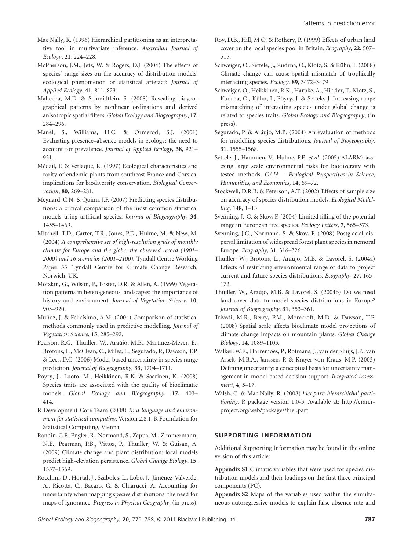Mac Nally, R. (1996) Hierarchical partitioning as an interpretative tool in multivariate inference. *Australian Journal of Ecology*, **21**, 224–228.

McPherson, J.M., Jetz, W. & Rogers, D.J. (2004) The effects of species' range sizes on the accuracy of distribution models: ecological phenomenon or statistical artefact? *Journal of Applied Ecology*, **41**, 811–823.

Mahecha, M.D. & Schmidtlein, S. (2008) Revealing biogeographical patterns by nonlinear ordinations and derived anisotropic spatial filters.*Global Ecology and Biogeography*, **17**, 284–296.

Manel, S., Williams, H.C. & Ormerod, S.J. (2001) Evaluating presence–absence models in ecology: the need to account for prevalence. *Journal of Applied Ecology*, **38**, 921– 931.

Médail, F. & Verlaque, R. (1997) Ecological characteristics and rarity of endemic plants from southeast France and Corsica: implications for biodiversity conservation. *Biological Conservation*, **80**, 269–281.

Meynard, C.N. & Quinn, J.F. (2007) Predicting species distributions: a critical comparison of the most common statistical models using artificial species. *Journal of Biogeography*, **34**, 1455–1469.

Mitchell, T.D., Carter, T.R., Jones, P.D., Hulme, M. & New, M. (2004) *A comprehensive set of high-resolution grids of monthly climate for Europe and the globe: the observed record (1901– 2000) and 16 scenarios (2001–2100).* Tyndall Centre Working Paper 55. Tyndall Centre for Climate Change Research, Norwich, UK.

Motzkin, G., Wilson, P., Foster, D.R. & Allen, A. (1999) Vegetation patterns in heterogeneous landscapes: the importance of history and environment. *Journal of Vegetation Science*, **10**, 903–920.

Muñoz, J. & Felicísimo, A.M. (2004) Comparison of statistical methods commonly used in predictive modelling. *Journal of Vegetation Science*, **15**, 285–292.

Pearson, R.G., Thuiller, W., Araújo, M.B., Martinez-Meyer, E., Brotons, L., McClean, C., Miles, L., Segurado, P., Dawson, T.P. & Lees, D.C. (2006) Model-based uncertainty in species range prediction. *Journal of Biogeography*, **33**, 1704–1711.

Pöyry, J., Luoto, M., Heikkinen, R.K. & Saarinen, K. (2008) Species traits are associated with the quality of bioclimatic models. *Global Ecology and Biogeography*, **17**, 403– 414.

R Development Core Team (2008) *R: a language and environment for statistical computing*. Version 2.8.1. R Foundation for Statistical Computing, Vienna.

Randin, C.F., Engler, R., Normand, S., Zappa, M., Zimmermann, N.E., Pearman, P.B., Vittoz, P., Thuiller, W. & Guisan, A. (2009) Climate change and plant distribution: local models predict high-elevation persistence. *Global Change Biology*, **15**, 1557–1569.

Rocchini, D., Hortal, J., Szabolcs, L., Lobo, J., Jiménez-Valverde, A., Ricotta, C., Bacaro, G. & Chiarucci, A. Accounting for uncertainty when mapping species distributions: the need for maps of ignorance. *Progress in Physical Geography*, (in press). Roy, D.B., Hill, M.O. & Rothery, P. (1999) Effects of urban land cover on the local species pool in Britain. *Ecography*, **22**, 507– 515.

Schweiger, O., Settele, J., Kudrna, O., Klotz, S. & Kühn, I. (2008) Climate change can cause spatial mismatch of trophically interacting species. *Ecology*, **89**, 3472–3479.

Schweiger, O., Heikkinen, R.K., Harpke, A., Hickler, T., Klotz, S., Kudrna, O., Kühn, I., Pöyry, J. & Settele, J. Increasing range mismatching of interacting species under global change is related to species traits. *Global Ecology and Biogeography*, (in press).

Segurado, P. & Aráujo, M.B. (2004) An evaluation of methods for modelling species distributions. *Journal of Biogeography*, **31**, 1555–1568.

Settele, J., Hammen, V., Hulme, P.E. *et al*. (2005) ALARM: assesing large scale environmental risks for biodiversity with tested methods. *GAIA – Ecological Perspectives in Science, Humanities, and Economics*, **14**, 69–72.

Stockwell, D.R.B. & Peterson, A.T. (2002) Effects of sample size on accuracy of species distribution models. *Ecological Modelling*, **148**, 1–13.

Svenning, J.-C. & Skov, F. (2004) Limited filling of the potential range in European tree species. *Ecology Letters*, **7**, 565–573.

Svenning, J.C., Normand, S. & Skov, F. (2008) Postglacial dispersal limitation of widespread forest plant species in nemoral Europe. *Ecography*, **31**, 316–326.

Thuiller, W., Brotons, L., Aráujo, M.B. & Lavorel, S. (2004a) Effects of restricting environmental range of data to project current and future species distributions. *Ecography*, **27**, 165– 172.

Thuiller, W., Araújo, M.B. & Lavorel, S. (2004b) Do we need land-cover data to model species distributions in Europe? *Journal of Biogeography*, **31**, 353–361.

Trivedi, M.R., Berry, P.M., Morecroft, M.D. & Dawson, T.P. (2008) Spatial scale affects bioclimate model projections of climate change impacts on mountain plants. *Global Change Biology*, **14**, 1089–1103.

Walker, W.E., Harremoes, P., Rotmans, J., van der Sluijs, J.P., van Asselt, M.B.A., Janssen, P. & Krayer von Kraus, M.P. (2003) Defining uncertainty: a conceptual basis for uncertainty management in model-based decision support. *Integrated Assessment*, **4**, 5–17.

Walsh, C. & Mac Nally, R. (2008) *hier.part: hierarchichal partitioning*. R package version 1.0-3. Available at: http://cran.rproject.org/web/packages/hier.part

# **SUPPORTING INFORMATION**

Additional Supporting Information may be found in the online version of this article:

**Appendix S1** Climatic variables that were used for species distribution models and their loadings on the first three principal components (PC).

**Appendix S2** Maps of the variables used within the simultaneous autoregressive models to explain false absence rate and